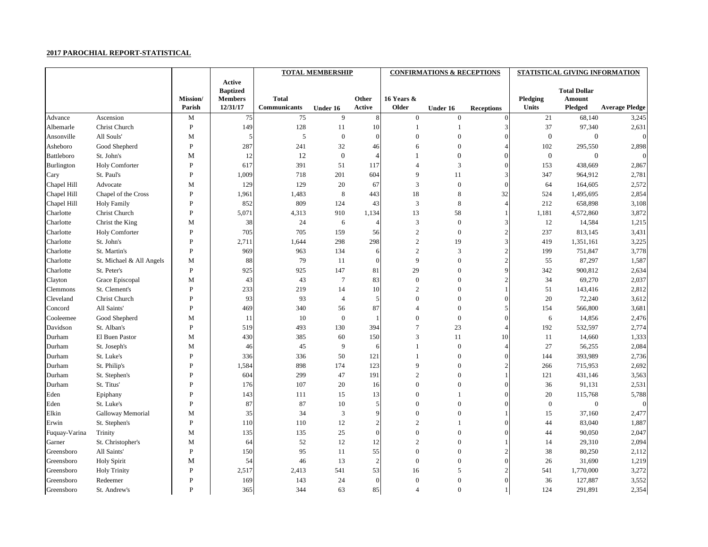## **2017 PAROCHIAL REPORT-STATISTICAL**

|                   |                          |                 |                 |                     | <b>TOTAL MEMBERSHIP</b> |                             |                  | <b>CONFIRMATIONS &amp; RECEPTIONS</b> |                   | STATISTICAL GIVING INFORMATION |                     |                       |  |
|-------------------|--------------------------|-----------------|-----------------|---------------------|-------------------------|-----------------------------|------------------|---------------------------------------|-------------------|--------------------------------|---------------------|-----------------------|--|
|                   |                          |                 | <b>Active</b>   |                     |                         |                             |                  |                                       |                   |                                |                     |                       |  |
|                   |                          |                 | <b>Baptized</b> |                     |                         |                             |                  |                                       |                   |                                | <b>Total Dollar</b> |                       |  |
|                   |                          | <b>Mission/</b> | <b>Members</b>  | <b>Total</b>        |                         | Other                       | 16 Years &       |                                       |                   | Pledging                       | <b>Amount</b>       |                       |  |
|                   |                          | Parish          | 12/31/17        | <b>Communicants</b> | Under 16                | Active                      | <b>Older</b>     | Under 16                              | <b>Receptions</b> | <b>Units</b>                   | <b>Pledged</b>      | <b>Average Pledge</b> |  |
| Advance           | Ascension                | M               | 75              | 75                  | 9                       | 8                           | $\overline{0}$   | $\overline{0}$                        | $\Omega$          | 21                             | 68,140              | 3,245                 |  |
| Albemarle         | Christ Church            | $\mathbf{P}$    | 149             | 128                 | 11                      | 10                          |                  |                                       |                   | 37                             | 97,340              | 2,631                 |  |
| Ansonville        | All Souls'               | M               | 5               | 5                   | $\mathbf{0}$            | $\Omega$                    |                  |                                       |                   | $\mathbf{0}$                   | $\boldsymbol{0}$    | $\Omega$              |  |
| Asheboro          | Good Shepherd            | ${\bf P}$       | 287             | 241                 | 32                      | 46                          | 6                | $\Omega$                              |                   | 102                            | 295,550             | 2,898                 |  |
| <b>Battleboro</b> | St. John's               | M               | 12              | 12                  | $\mathbf{0}$            | $\Delta$                    |                  |                                       |                   | $\mathbf{0}$                   | $\mathbf{0}$        | $\Omega$              |  |
| Burlington        | Holy Comforter           | $\mathbf{P}$    | 617             | 391                 | 51                      | 117                         |                  | 3                                     |                   | 153                            | 438,669             | 2,867                 |  |
| Cary              | St. Paul's               | $\mathbf{P}$    | 1,009           | 718                 | 201                     | 604                         | 9                | 11                                    |                   | 347                            | 964,912             | 2,781                 |  |
| Chapel Hill       | Advocate                 | M               | 129             | 129                 | 20                      | 67                          | 3                | $\theta$                              |                   | 64                             | 164,605             | 2,572                 |  |
| Chapel Hill       | Chapel of the Cross      | $\mathbf{P}$    | 1,961           | 1,483               | 8                       | 443                         | 18               | 8                                     | 32                | 524                            | 1,495,695           | 2,854                 |  |
| Chapel Hill       | <b>Holy Family</b>       | $\mathbf{P}$    | 852             | 809                 | 124                     | 43                          | 3                | 8                                     |                   | 212                            | 658,898             | 3,108                 |  |
| Charlotte         | Christ Church            | P               | 5,071           | 4,313               | 910                     | 1,134                       | 13               | 58                                    |                   | 1,181                          | 4,572,860           | 3,872                 |  |
| Charlotte         | Christ the King          | M               | 38              | 24                  | 6                       |                             | 3                | $\overline{0}$                        |                   | 12                             | 14,584              | 1,215                 |  |
| Charlotte         | <b>Holy Comforter</b>    | P               | 705             | 705                 | 159                     | 56                          | $\overline{c}$   | $\boldsymbol{0}$                      |                   | 237                            | 813,145             | 3,431                 |  |
| Charlotte         | St. John's               | P               | 2,711           | 1,644               | 298                     | 298                         | $\sqrt{2}$       | 19                                    |                   | 419                            | 1,351,161           | 3,225                 |  |
| Charlotte         | St. Martin's             | $\mathbf{P}$    | 969             | 963                 | 134                     | 6                           | 2                | 3                                     |                   | 199                            | 751,847             | 3,778                 |  |
| Charlotte         | St. Michael & All Angels | M               | 88              | 79                  | 11                      | $\Omega$                    | 9                | $\Omega$                              |                   | 55                             | 87,297              | 1,587                 |  |
| Charlotte         | St. Peter's              | $\mathbf{P}$    | 925             | 925                 | 147                     | 81                          | 29               | $\theta$                              |                   | 342                            | 900,812             | 2,634                 |  |
| Clayton           | Grace Episcopal          | M               | 43              | 43                  | 7                       | 83                          | $\overline{0}$   | $\theta$                              |                   | 34                             | 69,270              | 2,037                 |  |
| Clemmons          | St. Clement's            | P               | 233             | 219                 | 14                      | 10                          | $\overline{2}$   | $\Omega$                              |                   | 51                             | 143,416             | 2,812                 |  |
| Cleveland         | Christ Church            | P               | 93              | 93                  | $\overline{4}$          | 5                           | $\Omega$         | $\Omega$                              |                   | $20\,$                         | 72,240              | 3,612                 |  |
| Concord           | All Saints'              | P               | 469             | 340                 | 56                      | 87                          |                  | $\Omega$                              |                   | 154                            | 566,800             | 3,681                 |  |
| Cooleemee         | Good Shepherd            | M               | 11              | 10                  | $\overline{0}$          |                             | $\Omega$         | $\theta$                              |                   | 6                              | 14,856              | 2,476                 |  |
| Davidson          | St. Alban's              | $\mathbf{P}$    | 519             | 493                 | 130                     | 394                         | $\overline{7}$   | 23                                    |                   | 192                            | 532,597             | 2,774                 |  |
| Durham            | El Buen Pastor           | M               | 430             | 385                 | 60                      | 150                         | 3                | 11                                    | 10                | -11                            | 14,660              | 1,333                 |  |
| Durham            | St. Joseph's             | M               | 46              | 45                  | 9                       | 6                           |                  | $\theta$                              |                   | 27                             | 56,255              | 2,084                 |  |
| Durham            | St. Luke's               | P               | 336             | 336                 | 50                      | 121                         |                  | $\overline{0}$                        |                   | 144                            | 393,989             | 2,736                 |  |
| Durham            | St. Philip's             | P               | 1,584           | 898                 | 174                     | 123                         | 9                | $\theta$                              |                   | 266                            | 715,953             | 2,692                 |  |
| Durham            | St. Stephen's            | P               | 604             | 299                 | 47                      | 191                         |                  | $\Omega$                              |                   | 121                            | 431,146             | 3,563                 |  |
| Durham            | St. Titus'               | P               | 176             | 107                 | 20                      | 16                          | $\mathbf{0}$     | $\theta$                              |                   | 36                             | 91,131              | 2,531                 |  |
| Eden              | Epiphany                 | P               | 143             | 111                 | 15                      | 13                          | $\overline{0}$   |                                       |                   | 20                             | 115,768             | 5,788                 |  |
| Eden              | St. Luke's               | P               | 87              | 87                  | 10                      |                             | $\Omega$         | $\theta$                              |                   | $\theta$                       | $\boldsymbol{0}$    | $\overline{0}$        |  |
| Elkin             | Galloway Memorial        | M               | 35              | 34                  | 3                       |                             | $\theta$         | $\Omega$                              |                   | 15                             | 37,160              | 2,477                 |  |
| Erwin             | St. Stephen's            | ${\bf P}$       | 110             | 110                 | 12                      |                             | $\overline{2}$   |                                       |                   | 44                             | 83,040              | 1,887                 |  |
| Fuquay-Varina     | Trinity                  | M               | 135             | 135                 | 25                      |                             | $\overline{0}$   | $\Omega$                              |                   | 44                             | 90,050              | 2,047                 |  |
| Garner            | St. Christopher's        | M               | 64              | $52\,$              | 12                      | 12                          | $\sqrt{2}$       |                                       |                   | 14                             | 29,310              | 2,094                 |  |
| Greensboro        | All Saints'              | ${\bf P}$       | 150             | 95                  | 11                      | 55                          | $\overline{0}$   | $\theta$                              |                   | 38                             | 80,250              | 2,112                 |  |
| Greensboro        | <b>Holy Spirit</b>       | M               | 54              | 46                  | 13                      | $\mathcal{D}_{\mathcal{A}}$ | $\mathbf{0}$     | $\Omega$                              |                   | 26                             | 31,690              | 1,219                 |  |
| Greensboro        | <b>Holy Trinity</b>      | ${\bf P}$       | 2,517           | 2,413               | 541                     | 53                          | 16               | 5                                     |                   | 541                            | 1,770,000           | 3,272                 |  |
| Greensboro        | Redeemer                 | $\mathbf P$     | 169             | 143                 | 24                      | $\theta$                    | $\boldsymbol{0}$ | $\mathbf{0}$                          |                   | 36                             | 127,887             | 3,552                 |  |
| Greensboro        | St. Andrew's             | $\mathbf P$     | 365             | 344                 | 63                      | 85                          | $\overline{4}$   | $\boldsymbol{0}$                      |                   | 124                            | 291,891             | 2,354                 |  |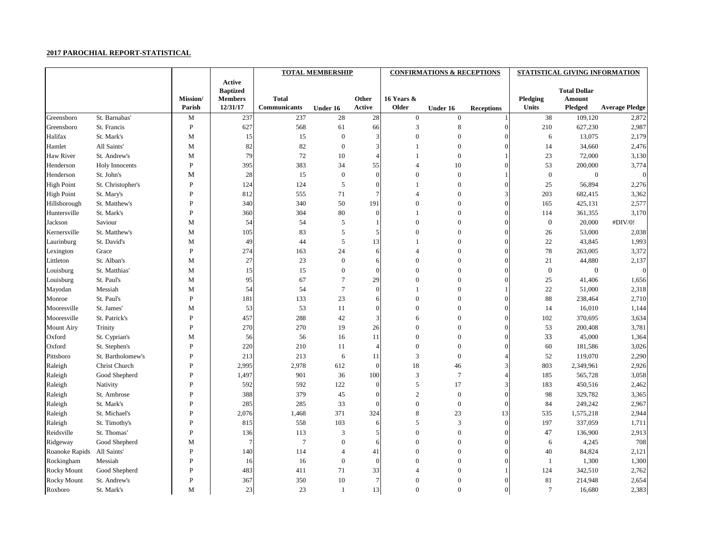## **2017 PAROCHIAL REPORT-STATISTICAL**

|                    |                   |                           |                            |                                     | <b>TOTAL MEMBERSHIP</b> |                        |                     | <b>CONFIRMATIONS &amp; RECEPTIONS</b> |                   |                          | STATISTICAL GIVING INFORMATION |                       |
|--------------------|-------------------|---------------------------|----------------------------|-------------------------------------|-------------------------|------------------------|---------------------|---------------------------------------|-------------------|--------------------------|--------------------------------|-----------------------|
|                    |                   |                           | Active                     |                                     |                         |                        |                     |                                       |                   |                          |                                |                       |
|                    |                   |                           | <b>Baptized</b>            |                                     |                         |                        |                     |                                       |                   |                          | <b>Total Dollar</b>            |                       |
|                    |                   | <b>Mission/</b><br>Parish | <b>Members</b><br>12/31/17 | <b>Total</b><br><b>Communicants</b> |                         | Other<br><b>Active</b> | 16 Years &<br>Older |                                       |                   | Pledging<br><b>Units</b> | <b>Amount</b>                  | <b>Average Pledge</b> |
|                    |                   |                           |                            |                                     | Under 16                |                        |                     | Under 16                              | <b>Receptions</b> |                          | <b>Pledged</b>                 |                       |
| Greensboro         | St. Barnabas'     | M                         | 237                        | 237                                 | 28                      | $28\,$                 | $\overline{0}$      | $\theta$                              |                   | 38                       | 109,120                        | 2,872                 |
| Greensboro         | St. Francis       | $\mathbf{P}$              | 627                        | 568                                 | 61                      | 66                     | $\mathcal{R}$       | 8                                     |                   | 210                      | 627,230                        | 2,987                 |
| Halifax            | St. Mark's        | M                         | 15                         | 15                                  | $\mathbf{0}$            |                        |                     |                                       |                   | 6                        | 13,075                         | 2,179                 |
| Hamlet             | All Saints'       | M                         | 82                         | 82                                  | $\theta$                |                        |                     | $\Omega$                              |                   | 14                       | 34,660                         | 2,476                 |
| Haw River          | St. Andrew's      | M                         | 79                         | $72\,$                              | 10                      |                        |                     | $\theta$                              |                   | 23                       | 72,000                         | 3,130                 |
| Henderson          | Holy Innocents    | $\mathbf{P}$              | 395                        | 383                                 | 34                      | 55                     |                     | 10                                    |                   | 53                       | 200,000                        | 3,774                 |
| Henderson          | St. John's        | M                         | 28                         | 15                                  | $\theta$                | $\Omega$               | $\Omega$            | $\theta$                              |                   | $\theta$                 | $\mathbf{0}$                   | $\vert$ 0             |
| <b>High Point</b>  | St. Christopher's | $\mathbf{P}$              | 124                        | 124                                 | 5                       | $\Omega$               |                     | $\theta$                              |                   | 25                       | 56,894                         | 2,276                 |
| <b>High Point</b>  | St. Mary's        | P                         | 812                        | 555                                 | 71                      |                        |                     | $\Omega$                              |                   | 203                      | 682,415                        | 3,362                 |
| Hillsborough       | St. Matthew's     | P                         | 340                        | 340                                 | 50                      | 191                    |                     | $\Omega$                              |                   | 165                      | 425,131                        | 2,577                 |
| Huntersville       | St. Mark's        | P                         | 360                        | 304                                 | 80                      | $\Omega$               |                     | $\Omega$                              |                   | 114                      | 361,355                        | 3,170                 |
| Jackson            | Saviour           | M                         | 54                         | 54                                  | 5                       |                        | $\Omega$            | $\Omega$                              |                   | $\boldsymbol{0}$         | 20,000                         | #DIV/0!               |
| Kernersville       | St. Matthew's     | M                         | 105                        | 83                                  | 5                       |                        | $\Omega$            | $\theta$                              |                   | 26                       | 53,000                         | 2,038                 |
| Laurinburg         | St. David's       | M                         | 49                         | 44                                  | 5                       | 13                     |                     | $\Omega$                              |                   | 22                       | 43,845                         | 1,993                 |
| Lexington          | Grace             | ${\bf P}$                 | 274                        | 163                                 | 24                      |                        |                     | $\Omega$                              |                   | 78                       | 263,005                        | 3,372                 |
| Littleton          | St. Alban's       | M                         | 27                         | $23\,$                              | $\Omega$                |                        | $\Omega$            | $\Omega$                              |                   | 21                       | 44,880                         | 2,137                 |
| Louisburg          | St. Matthias'     | M                         | 15                         | 15                                  | $\Omega$                | $\Omega$               | $\Omega$            | $\Omega$                              |                   | $\mathbf{0}$             | $\boldsymbol{0}$               | $\vert$ 0             |
| Louisburg          | St. Paul's        | M                         | 95                         | 67                                  |                         | 29                     | $\Omega$            |                                       |                   | 25                       | 41,406                         | 1,656                 |
| Mayodan            | Messiah           | M                         | 54                         | 54                                  | 7                       | $\Omega$               |                     | $\Omega$                              |                   | 22                       | 51,000                         | 2,318                 |
| Monroe             | St. Paul's        | ${\bf P}$                 | 181                        | 133                                 | 23                      | 6                      | $\theta$            | $\theta$                              |                   | 88                       | 238,464                        | 2,710                 |
| Mooresville        | St. James'        | M                         | 53                         | 53                                  | 11                      |                        | $\Omega$            | $\Omega$                              |                   | 14                       | 16,010                         | 1,144                 |
| Mooresville        | St. Patrick's     | $\mathbf{P}$              | 457                        | 288                                 | 42                      | 3                      | 6                   | $\Omega$                              |                   | 102                      | 370,695                        | 3,634                 |
| <b>Mount Airy</b>  | Trinity           | P                         | 270                        | 270                                 | 19                      | 26                     | $\theta$            | $\theta$                              |                   | 53                       | 200,408                        | 3,781                 |
| Oxford             | St. Cyprian's     | M                         | 56                         | 56                                  | 16                      | 11                     | $\theta$            |                                       |                   | 33                       | 45,000                         | 1,364                 |
| Oxford             | St. Stephen's     | $\mathbf{P}$              | 220                        | 210                                 | 11                      |                        | $\Omega$            |                                       |                   | 60                       | 181,586                        | 3,026                 |
| Pittsboro          | St. Bartholomew's | P                         | 213                        | 213                                 | 6                       | 11                     | 3                   | $\theta$                              |                   | 52                       | 119,070                        | 2,290                 |
| Raleigh            | Christ Church     | P                         | 2,995                      | 2,978                               | 612                     | $\overline{0}$         | 18                  | 46                                    |                   | 803                      | 2,349,961                      | 2,926                 |
| Raleigh            | Good Shepherd     | P                         | 1,497                      | 901                                 | 36                      | 100                    | 3                   |                                       |                   | 185                      | 565,728                        | 3,058                 |
| Raleigh            | Nativity          | P                         | 592                        | 592                                 | 122                     | $\Omega$               | 5                   | 17                                    |                   | 183                      | 450,516                        | 2,462                 |
| Raleigh            | St. Ambrose       | $\mathbf{P}$              | 388                        | 379                                 | 45                      |                        | $\overline{2}$      | $\overline{0}$                        |                   | 98                       | 329,782                        | 3,365                 |
| Raleigh            | St. Mark's        | P                         | 285                        | 285                                 | 33                      |                        | $\boldsymbol{0}$    | $\Omega$                              |                   | 84                       | 249,242                        | 2,967                 |
| Raleigh            | St. Michael's     | $\mathbf{P}$              | 2,076                      | 1,468                               | 371                     | 324                    | $\,8\,$             | 23                                    | 13                | 535                      | 1,575,218                      | 2,944                 |
| Raleigh            | St. Timothy's     | P                         | 815                        | 558                                 | 103                     |                        | 5                   | 3                                     |                   | 197                      | 337,059                        | 1,711                 |
| Reidsville         | St. Thomas'       | ${\bf P}$                 | 136                        | 113                                 | 3                       |                        | $\boldsymbol{0}$    | 0                                     |                   | 47                       | 136,900                        | 2,913                 |
| Ridgeway           | Good Shepherd     | M                         |                            | $\overline{7}$                      | $\boldsymbol{0}$        |                        | $\boldsymbol{0}$    |                                       |                   | 6                        | 4,245                          | 708                   |
| Roanoke Rapids     | All Saints'       | ${\bf P}$                 | 140                        | 114                                 | Δ                       | 41                     | $\boldsymbol{0}$    | 0                                     |                   | 40                       | 84,824                         | 2,121                 |
| Rockingham         | Messiah           | $\mathbf{P}$              | 16                         | 16                                  | $\overline{0}$          | $\Omega$               | $\boldsymbol{0}$    |                                       |                   |                          | 1,300                          | 1,300                 |
| <b>Rocky Mount</b> | Good Shepherd     | P                         | 483                        | 411                                 | 71                      | 33                     |                     | $\Omega$                              |                   | 124                      | 342,510                        | 2,762                 |
| <b>Rocky Mount</b> | St. Andrew's      | ${\bf P}$                 | 367                        | 350                                 | 10                      |                        | $\boldsymbol{0}$    | $\theta$                              |                   | 81                       | 214,948                        | 2,654                 |
| Roxboro            | St. Mark's        | M                         | 23                         | $23\,$                              |                         | 13                     | $\boldsymbol{0}$    | $\boldsymbol{0}$                      |                   | $\overline{7}$           | 16,680                         | 2,383                 |
|                    |                   |                           |                            |                                     |                         |                        |                     |                                       |                   |                          |                                |                       |